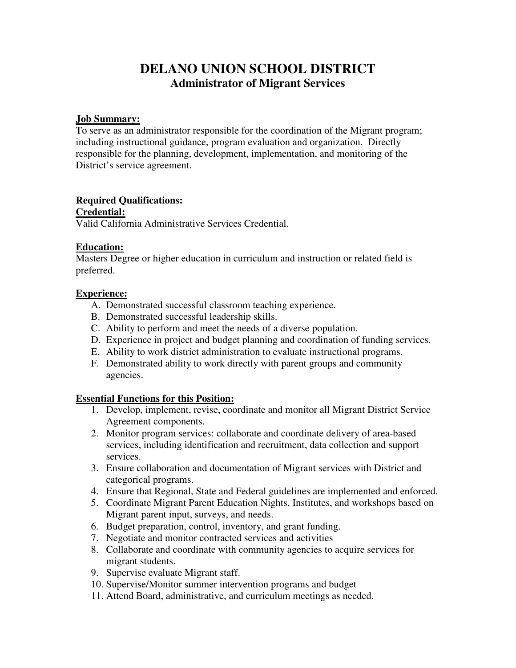# **DELANO UNION SCHOOL DISTRICT Administrator of Migrant Services**

## **Job Summary:**

To serve as an administrator responsible for the coordination of the Migrant program; including instructional guidance, program evaluation and organization. Directly responsible for the planning, development, implementation, and monitoring of the District's service agreement.

# **Required Qualifications:**

#### **Credential:**

Valid California Administrative Services Credential.

## **Education:**

Masters Degree or higher education in curriculum and instruction or related field is preferred.

## **Experience:**

- A. Demonstrated successful classroom teaching experience.
- B. Demonstrated successful leadership skills.
- C. Ability to perform and meet the needs of a diverse population.
- D. Experience in project and budget planning and coordination of funding services.
- E. Ability to work district administration to evaluate instructional programs.
- F. Demonstrated ability to work directly with parent groups and community agencies.

# **Essential Functions for this Position:**

- 1. Develop, implement, revise, coordinate and monitor all Migrant District Service Agreement components.
- 2. Monitor program services: collaborate and coordinate delivery of area-based services, including identification and recruitment, data collection and support services.
- 3. Ensure collaboration and documentation of Migrant services with District and categorical programs.
- 4. Ensure that Regional, State and Federal guidelines are implemented and enforced.
- 5. Coordinate Migrant Parent Education Nights, Institutes, and workshops based on Migrant parent input, surveys, and needs.
- 6. Budget preparation, control, inventory, and grant funding.
- 7. Negotiate and monitor contracted services and activities
- 8. Collaborate and coordinate with community agencies to acquire services for migrant students.
- 9. Supervise evaluate Migrant staff.
- 10. Supervise/Monitor summer intervention programs and budget
- 11. Attend Board, administrative, and curriculum meetings as needed.